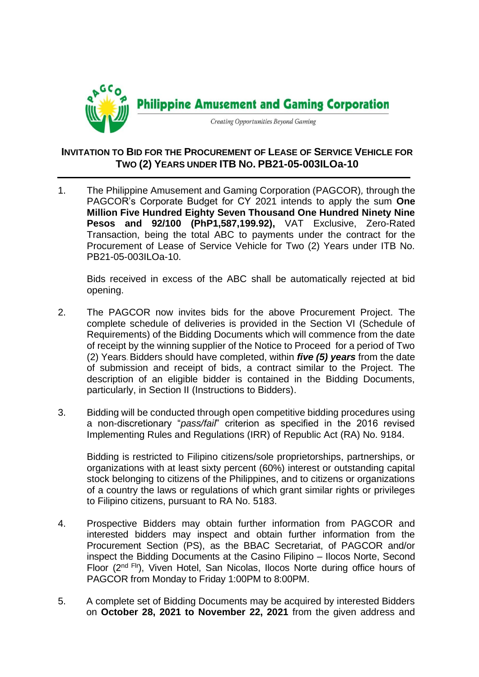

## **INVITATION TO BID FOR THE PROCUREMENT OF LEASE OF SERVICE VEHICLE FOR TWO (2) YEARS UNDER ITB NO. PB21-05-003ILOa-10**

1. The Philippine Amusement and Gaming Corporation (PAGCOR)*,* through the PAGCOR's Corporate Budget for CY 2021 intends to apply the sum **One Million Five Hundred Eighty Seven Thousand One Hundred Ninety Nine Pesos and 92/100 (PhP1,587,199.92),** VAT Exclusive, Zero-Rated Transaction, being the total ABC to payments under the contract for the Procurement of Lease of Service Vehicle for Two (2) Years under ITB No. PB21-05-003ILOa-10.

Bids received in excess of the ABC shall be automatically rejected at bid opening.

- 2. The PAGCOR now invites bids for the above Procurement Project. The complete schedule of deliveries is provided in the Section VI (Schedule of Requirements) of the Bidding Documents which will commence from the date of receipt by the winning supplier of the Notice to Proceed for a period of Two (2) Years. Bidders should have completed, within *five (5) years* from the date of submission and receipt of bids, a contract similar to the Project. The description of an eligible bidder is contained in the Bidding Documents, particularly, in Section II (Instructions to Bidders).
- 3. Bidding will be conducted through open competitive bidding procedures using a non-discretionary "*pass/fail*" criterion as specified in the 2016 revised Implementing Rules and Regulations (IRR) of Republic Act (RA) No. 9184.

Bidding is restricted to Filipino citizens/sole proprietorships, partnerships, or organizations with at least sixty percent (60%) interest or outstanding capital stock belonging to citizens of the Philippines, and to citizens or organizations of a country the laws or regulations of which grant similar rights or privileges to Filipino citizens, pursuant to RA No. 5183.

- 4. Prospective Bidders may obtain further information from PAGCOR and interested bidders may inspect and obtain further information from the Procurement Section (PS), as the BBAC Secretariat, of PAGCOR and/or inspect the Bidding Documents at the Casino Filipino – Ilocos Norte, Second Floor (2<sup>nd Flr</sup>), Viven Hotel, San Nicolas, Ilocos Norte during office hours of PAGCOR from Monday to Friday 1:00PM to 8:00PM.
- 5. A complete set of Bidding Documents may be acquired by interested Bidders on **October 28, 2021 to November 22, 2021** from the given address and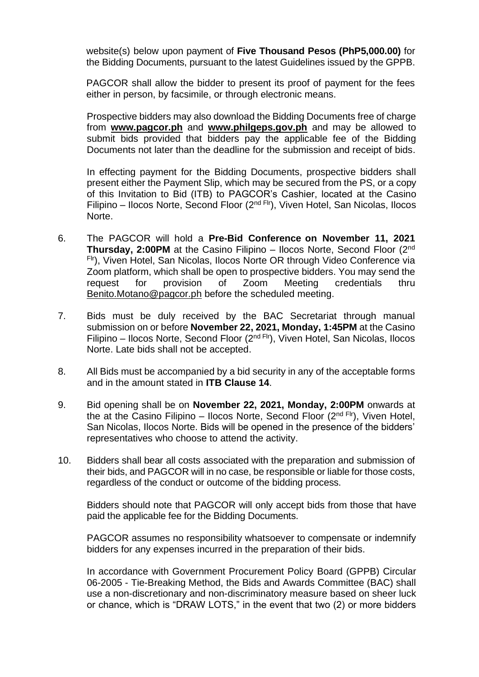website(s) below upon payment of **Five Thousand Pesos (PhP5,000.00)** for the Bidding Documents, pursuant to the latest Guidelines issued by the GPPB.

PAGCOR shall allow the bidder to present its proof of payment for the fees either in person, by facsimile, or through electronic means.

Prospective bidders may also download the Bidding Documents free of charge from **[www.pagcor.ph](http://www.pagcor.ph/)** and **www.philgeps.gov.ph** and may be allowed to submit bids provided that bidders pay the applicable fee of the Bidding Documents not later than the deadline for the submission and receipt of bids.

In effecting payment for the Bidding Documents, prospective bidders shall present either the Payment Slip, which may be secured from the PS, or a copy of this Invitation to Bid (ITB) to PAGCOR's Cashier, located at the Casino Filipino – Ilocos Norte, Second Floor ( $2<sup>nd Fri</sup>$ ), Viven Hotel, San Nicolas, Ilocos Norte.

- 6. The PAGCOR will hold a **Pre-Bid Conference on November 11, 2021 Thursday, 2:00PM** at the Casino Filipino – Ilocos Norte, Second Floor (2nd Flr), Viven Hotel, San Nicolas, Ilocos Norte OR through Video Conference via Zoom platform, which shall be open to prospective bidders. You may send the request for provision of Zoom Meeting credentials thru Benito.Motano@pagcor.ph before the scheduled meeting.
- 7. Bids must be duly received by the BAC Secretariat through manual submission on or before **November 22, 2021, Monday, 1:45PM** at the Casino Filipino – Ilocos Norte, Second Floor (2<sup>nd Flr</sup>), Viven Hotel, San Nicolas, Ilocos Norte. Late bids shall not be accepted.
- 8. All Bids must be accompanied by a bid security in any of the acceptable forms and in the amount stated in **ITB Clause 14**.
- 9. Bid opening shall be on **November 22, 2021, Monday, 2:00PM** onwards at the at the Casino Filipino – Ilocos Norte, Second Floor  $(2^{nd}$  Flr), Viven Hotel, San Nicolas, Ilocos Norte. Bids will be opened in the presence of the bidders' representatives who choose to attend the activity.
- 10. Bidders shall bear all costs associated with the preparation and submission of their bids, and PAGCOR will in no case, be responsible or liable for those costs, regardless of the conduct or outcome of the bidding process.

Bidders should note that PAGCOR will only accept bids from those that have paid the applicable fee for the Bidding Documents.

PAGCOR assumes no responsibility whatsoever to compensate or indemnify bidders for any expenses incurred in the preparation of their bids.

In accordance with Government Procurement Policy Board (GPPB) Circular 06-2005 - Tie-Breaking Method, the Bids and Awards Committee (BAC) shall use a non-discretionary and non-discriminatory measure based on sheer luck or chance, which is "DRAW LOTS," in the event that two (2) or more bidders